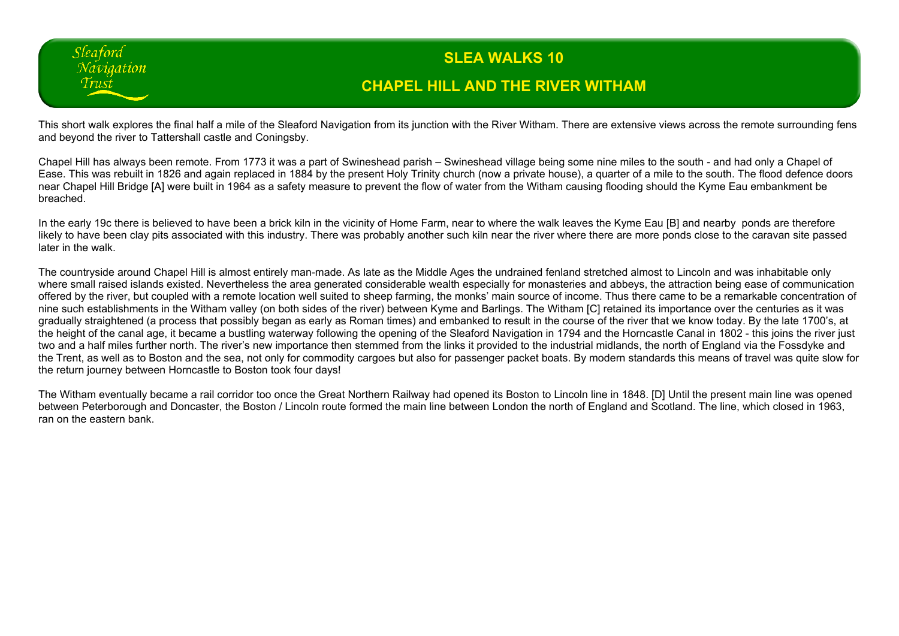## **SLEA WALKS 10**

## **CHAPEL HILL AND THE RIVER WITHAM**

This short walk explores the final half a mile of the Sleaford Navigation from its junction with the River Witham. There are extensive views across the remote surrounding fens and beyond the river to Tattershall castle and Coningsby.

Sleatord Navigation

Trust

Chapel Hill has always been remote. From 1773 it was a part of Swineshead parish – Swineshead village being some nine miles to the south - and had only a Chapel of Ease. This was rebuilt in 1826 and again replaced in 1884 by the present Holy Trinity church (now a private house), a quarter of a mile to the south. The flood defence doors near Chapel Hill Bridge [A] were built in 1964 as a safety measure to prevent the flow of water from the Witham causing flooding should the Kyme Eau embankment be breached.

In the early 19c there is believed to have been a brick kiln in the vicinity of Home Farm, near to where the walk leaves the Kyme Eau [B] and nearby ponds are therefore likely to have been clay pits associated with this industry. There was probably another such kiln near the river where there are more ponds close to the caravan site passed later in the walk.

The countryside around Chapel Hill is almost entirely man-made. As late as the Middle Ages the undrained fenland stretched almost to Lincoln and was inhabitable only where small raised islands existed. Nevertheless the area generated considerable wealth especially for monasteries and abbeys, the attraction being ease of communication offered by the river, but coupled with a remote location well suited to sheep farming, the monks' main source of income. Thus there came to be a remarkable concentration of nine such establishments in the Witham valley (on both sides of the river) between Kyme and Barlings. The Witham [C] retained its importance over the centuries as it was gradually straightened (a process that possibly began as early as Roman times) and embanked to result in the course of the river that we know today. By the late 1700's, at the height of the canal age, it became a bustling waterway following the opening of the Sleaford Navigation in 1794 and the Horncastle Canal in 1802 - this joins the river just two and a half miles further north. The river's new importance then stemmed from the links it provided to the industrial midlands, the north of England via the Fossdyke and the Trent, as well as to Boston and the sea, not only for commodity cargoes but also for passenger packet boats. By modern standards this means of travel was quite slow for the return journey between Horncastle to Boston took four days!

The Witham eventually became a rail corridor too once the Great Northern Railway had opened its Boston to Lincoln line in 1848. [D] Until the present main line was opened between Peterborough and Doncaster, the Boston / Lincoln route formed the main line between London the north of England and Scotland. The line, which closed in 1963, ran on the eastern bank.